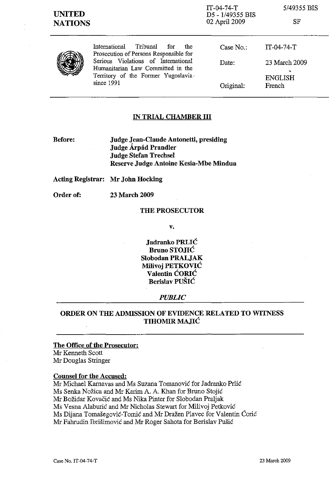| <b>UNITED</b><br><b>NATIONS</b> |                                                                                                                              | $IT-04-74-T$<br>D5 - 1/49355 BIS<br>02 April 2009 | 5/49355 BIS<br>SF                     |
|---------------------------------|------------------------------------------------------------------------------------------------------------------------------|---------------------------------------------------|---------------------------------------|
|                                 | Tribunal<br>International<br>for<br>the<br>Prosecution of Persons Responsible for                                            | Case No.:                                         | $IT-04-74-T$                          |
|                                 | Serious Violations of International<br>Humanitarian Law Committed in the<br>Territory of the Former Yugoslavia<br>since 1991 | Date:                                             | 23 March 2009<br>۰.<br><b>ENGLISH</b> |
|                                 |                                                                                                                              | Original:                                         | French                                |

#### IN TRIAL CHAMBER III

Before:

Judge Jean-Claude Antonetti, presiding Judge Árpád Prandler Judge Stefan Trechsel Reserve Judge Antoine Kesia-Mbe Mindua

Acting Registrar: Mr John Hocking

Order of: 23 March 2009

#### THE PROSECUTOR

v.

Jadranko PRLIC Bruno STOJIĆ Slobodan PRALJAK Milivoj PETKOVIC Valentin CORIC Berislav PUSIC

#### *PUBLIC*

## ORDER ON THE ADMISSION OF EVIDENCE RELATED TO WITNESS TIHOMIR MAJIC

#### The Office of the Prosecutor:

Mr Kenneth Scott Mr Douglas Stringer

#### Counsel for the Accused:

Mr Michael Karnavas and Ms Suzana Tomanovic for Jadranko Prlic Ms Senka Nozica and Mr Karim A. A. Khan for Bruno Stojic Mr Bozidar Kovacic and Ms Nika Pinter for Slobodan Praljak Ms Vesna Alaburic and Mr Nicholas Stewart for Milivoj Petkovic Ms Dijana Tomašegović-Tomić and Mr Dražen Plavec for Valentin Ćorić Mr Fahrudin Ibrisimovic and Mr Roger Sahota for Berislav Pusic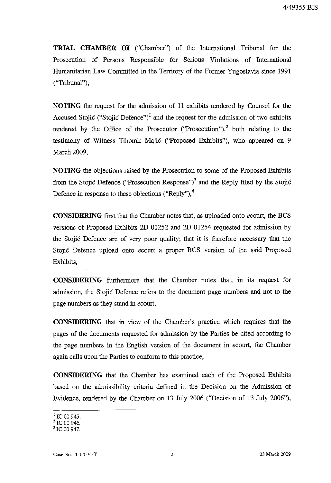**TRIAL CHAMBER III** ("Chamber") of the International Tribunal for the Prosecution of Persons Responsible for Serious Violations of International Humanitarian Law Committed in the Territory of the Former Yugoslavia since 1991 ("Tribunal"),

**NOTING** the request for the admission of 11 exhibits tendered by Counsel for the Accused Stojic ("Stojic Defence")<sup>1</sup> and the request for the admission of two exhibits tendered by the Office of the Prosecutor ("Prosecution"), $^2$  both relating to the testimony of Witness Tihomir Majic ("Proposed Exhibits"), who appeared on 9 March 2009,

**NOTING** the objections raised by the Prosecution to some of the Proposed Exhibits from the Stojic Defence ("Prosecution Response")<sup>3</sup> and the Reply filed by the Stojic Defence in response to these objections ("Reply"),<sup>4</sup>

**CONSIDERING** first that the Chamber notes that, as uploaded onto ecourt, the BCS versions of Proposed Exhibits 2D 01252 and 2D 01254 requested for admission by the Stojic Defence are of very poor quality; that it is therefore necessary that the Stojic Defence upload onto ecourt a proper BCS version of the said Proposed Exhibits,

**CONSIDERING** furthermore that the Chamber notes that, in its request for admission, the Stojic Defence refers to the document page numbers and not to the page numbers as they stand in ecourt,

**CONSIDERING** that in view of the Chamber's practice which requires that the pages of the documents requested for admission by the Parties be cited according to the page numbers in the English version of the document in ecourt, the Chamber again calls upon the Parties to conform to this practice,

**CONSIDERING** that the Chamber has examined each of the Proposed Exhibits based on the admissibility criteria defined in the Decision on the Admission of Evidence, rendered by the Chamber on 13 July 2006 ("Decision of 13 July 2006"),

 $1$  IC 00 945.

 $^2$  IC 00 946.

IC 00 947.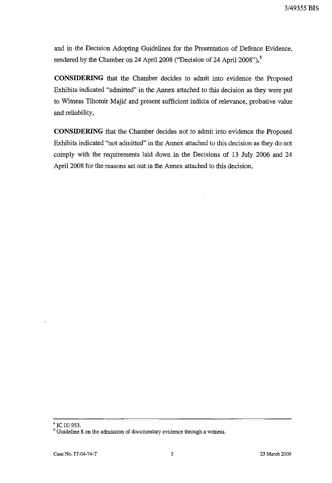and in the Decision Adopting Guidelines for the Presentation of Defence Evidence, rendered by the Chamber on 24 April 2008 ("Decision of 24 April 2008"),<sup>5</sup>

**CONSIDERING** that the Chamber decides to admit into evidence the Proposed Exhibits indicated "admitted" in the Annex attached to this decision as they were put to Witness Tihomir Majic and present sufficient indicia of relevance, probative value and reliability,

**CONSIDERING** that the Chamber decides not to admit into evidence the Proposed Exhibits indicated "not admitted" in the Annex attached to this decision as they do not comply with the requirements laid down in the Decisions of 13 July 2006 and 24 April 2008 for the reasons set out in the Annex attached to this decision,

 $^{4}$  IC 00 953.

<sup>&</sup>lt;sup>5</sup> Guideline 8 on the admission of documentary evidence through a witness.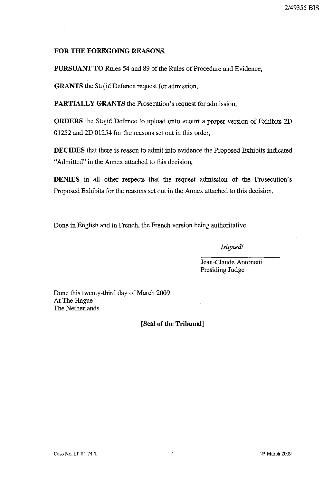### **FOR THE FOREGOING REASONS,**

**PURSUANT TO** Rules 54 and 89 of the Rules of Procedure and Evidence,

**GRANTS** the Stojic Defence request for admission,

**PARTIALLY GRANTS** the Prosecution's request for admission,

**ORDERS** the Stojic Defence to upload onto *ecourt* a proper version of Exhibits 2D 01252 and 2D 01254 for the reasons set out in this order,

**DECIDES** that there is reason to admit into evidence the Proposed Exhibits indicated "Admitted" in the Annex attached to this decision,

**DENIES** in all other respects that the request admission of the Prosecution's Proposed Exhibits for the reasons set out in the Annex attached to this decision,

Done in English and in French, the French version being authoritative.

*Isignedl* 

Jean-Claude Antonetti Presiding Judge

Done this twenty-third day of March 2009 At The Hague The Netherlands

**[Seal of the Tribunal]**